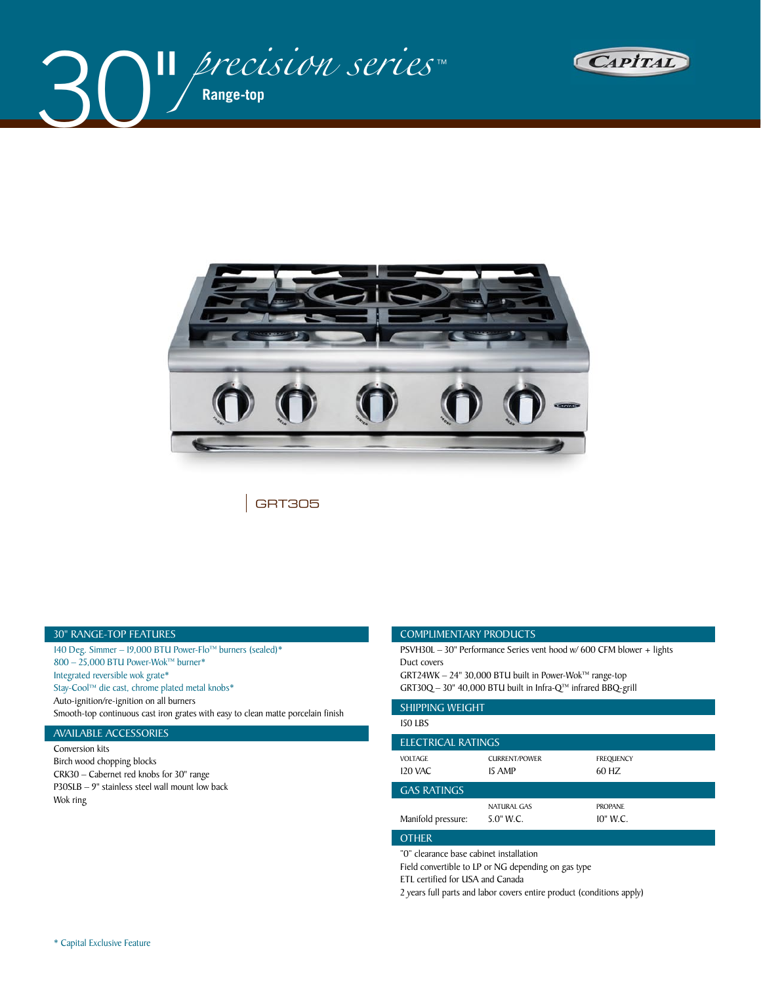





GRT305

#### 30" RANGE-TOP FEATURES

140 Deg. Simmer – 19,000 BTU Power-Flo™ burners (sealed)\* 800 – 25,000 BTU Power-Wok™ burner\* Integrated reversible wok grate\* Stay-Cool™ die cast, chrome plated metal knobs\* Auto-ignition/re-ignition on all burners Smooth-top continuous cast iron grates with easy to clean matte porcelain finish

## AVAILABLE ACCESSORIES

Conversion kits Birch wood chopping blocks CRK30 – Cabernet red knobs for 30" range P30SLB – 9" stainless steel wall mount low back Wok ring

#### COMPLIMENTARY PRODUCTS

PSVH30L – 30" Performance Series vent hood w/ 600 CFM blower + lights Duct covers GRT24WK – 24" 30,000 BTU built in Power-Wok™ range-top

GRT30Q – 30" 40,000 BTU built in Infra-Q™ infrared BBQ-grill

| <b>SHIPPING WEIGHT</b> |                      |                  |  |  |  |  |  |  |
|------------------------|----------------------|------------------|--|--|--|--|--|--|
| <b>150 LBS</b>         |                      |                  |  |  |  |  |  |  |
| ELECTRICAL RATINGS     |                      |                  |  |  |  |  |  |  |
| <b>VOLTAGE</b>         | <b>CURRENT/POWER</b> | <b>FREQUENCY</b> |  |  |  |  |  |  |
| 120 VAC                | 15 AMP               | 60 HZ            |  |  |  |  |  |  |
| <b>GAS RATINGS</b>     |                      |                  |  |  |  |  |  |  |
|                        | NATURAL GAS          | <b>PROPANE</b>   |  |  |  |  |  |  |
| Manifold pressure:     | 5.0" W.C.            | 10" W.C.         |  |  |  |  |  |  |
| <b>OTHER</b>           |                      |                  |  |  |  |  |  |  |

"0" clearance base cabinet installation

Field convertible to LP or NG depending on gas type

ETL certified for USA and Canada

2 years full parts and labor covers entire product (conditions apply)